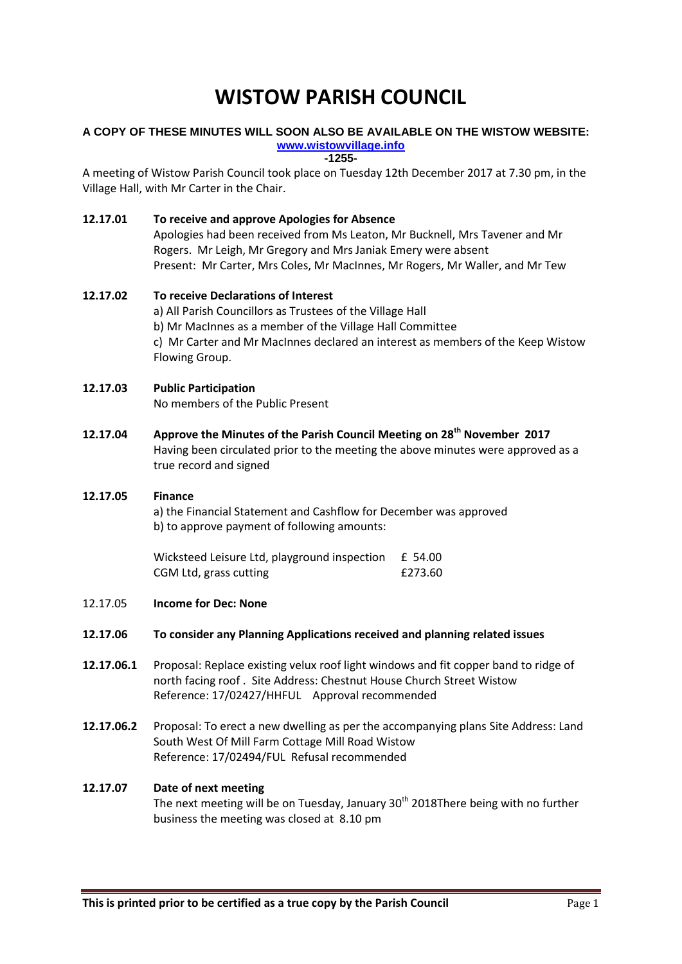# **WISTOW PARISH COUNCIL**

#### **A COPY OF THESE MINUTES WILL SOON ALSO BE AVAILABLE ON THE WISTOW WEBSITE: [www.wistowvillage.info](http://www.wistowvillage.info/)**

**-1255-**

A meeting of Wistow Parish Council took place on Tuesday 12th December 2017 at 7.30 pm, in the Village Hall, with Mr Carter in the Chair.

#### **12.17.01 To receive and approve Apologies for Absence** Apologies had been received from Ms Leaton, Mr Bucknell, Mrs Tavener and Mr Rogers. Mr Leigh, Mr Gregory and Mrs Janiak Emery were absent Present: Mr Carter, Mrs Coles, Mr MacInnes, Mr Rogers, Mr Waller, and Mr Tew

## **12.17.02 To receive Declarations of Interest** a) All Parish Councillors as Trustees of the Village Hall b) Mr MacInnes as a member of the Village Hall Committee c) Mr Carter and Mr MacInnes declared an interest as members of the Keep Wistow Flowing Group.

## **12.17.03 Public Participation**

No members of the Public Present

**12.17.04 Approve the Minutes of the Parish Council Meeting on 28th November 2017** Having been circulated prior to the meeting the above minutes were approved as a true record and signed

# **12.17.05 Finance** a) the Financial Statement and Cashflow for December was approved b) to approve payment of following amounts:

Wicksteed Leisure Ltd, playground inspection £ 54.00 CGM Ltd, grass cutting **E273.60** 

12.17.05 **Income for Dec: None**

#### **12.17.06 To consider any Planning Applications received and planning related issues**

- **12.17.06.1** Proposal: Replace existing velux roof light windows and fit copper band to ridge of north facing roof . Site Address: Chestnut House Church Street Wistow Reference: 17/02427/HHFUL Approval recommended
- **12.17.06.2** Proposal: To erect a new dwelling as per the accompanying plans Site Address: Land South West Of Mill Farm Cottage Mill Road Wistow Reference: 17/02494/FUL Refusal recommended

#### **12.17.07 Date of next meeting**

The next meeting will be on Tuesday, January 30<sup>th</sup> 2018There being with no further business the meeting was closed at 8.10 pm